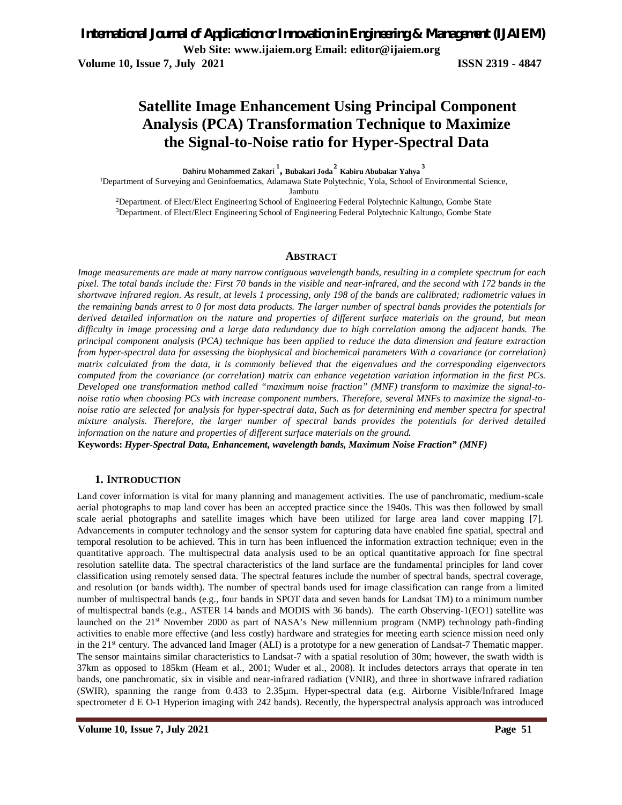**Volume 10, Issue 7, July 2021 ISSN 2319 - 4847**

# **Satellite Image Enhancement Using Principal Component Analysis (PCA) Transformation Technique to Maximize the Signal-to-Noise ratio for Hyper-Spectral Data**

**Dahiru Mohammed Zakari <sup>1</sup> , Bubakari Joda<sup>2</sup> Kabiru Abubakar Yahya <sup>3</sup>**

<sup>1</sup>Department of Surveying and Geoinfoematics, Adamawa State Polytechnic, Yola, School of Environmental Science, Jambutu

<sup>2</sup>Department. of Elect/Elect Engineering School of Engineering Federal Polytechnic Kaltungo, Gombe State <sup>3</sup>Department. of Elect/Elect Engineering School of Engineering Federal Polytechnic Kaltungo, Gombe State

#### **ABSTRACT**

*Image measurements are made at many narrow contiguous wavelength bands, resulting in a complete spectrum for each pixel. The total bands include the: First 70 bands in the visible and near-infrared, and the second with 172 bands in the shortwave infrared region. As result, at levels 1 processing, only 198 of the bands are calibrated; radiometric values in the remaining bands arrest to 0 for most data products. The larger number of spectral bands provides the potentials for derived detailed information on the nature and properties of different surface materials on the ground, but mean difficulty in image processing and a large data redundancy due to high correlation among the adjacent bands. The principal component analysis (PCA) technique has been applied to reduce the data dimension and feature extraction from hyper-spectral data for assessing the biophysical and biochemical parameters With a covariance (or correlation) matrix calculated from the data, it is commonly believed that the eigenvalues and the corresponding eigenvectors computed from the covariance (or correlation) matrix can enhance vegetation variation information in the first PCs. Developed one transformation method called "maximum noise fraction" (MNF) transform to maximize the signal-tonoise ratio when choosing PCs with increase component numbers. Therefore, several MNFs to maximize the signal-tonoise ratio are selected for analysis for hyper-spectral data, Such as for determining end member spectra for spectral mixture analysis. Therefore, the larger number of spectral bands provides the potentials for derived detailed information on the nature and properties of different surface materials on the ground.*

**Keywords:** *Hyper-Spectral Data, Enhancement, wavelength bands, Maximum Noise Fraction" (MNF)*

#### **1. INTRODUCTION**

Land cover information is vital for many planning and management activities. The use of panchromatic, medium-scale aerial photographs to map land cover has been an accepted practice since the 1940s. This was then followed by small scale aerial photographs and satellite images which have been utilized for large area land cover mapping [7]. Advancements in computer technology and the sensor system for capturing data have enabled fine spatial, spectral and temporal resolution to be achieved. This in turn has been influenced the information extraction technique; even in the quantitative approach. The multispectral data analysis used to be an optical quantitative approach for fine spectral resolution satellite data. The spectral characteristics of the land surface are the fundamental principles for land cover classification using remotely sensed data. The spectral features include the number of spectral bands, spectral coverage, and resolution (or bands width). The number of spectral bands used for image classification can range from a limited number of multispectral bands (e.g., four bands in SPOT data and seven bands for Landsat TM) to a minimum number of multispectral bands (e.g., ASTER 14 bands and MODIS with 36 bands). The earth Observing-1(EO1) satellite was launched on the 21st November 2000 as part of NASA's New millennium program (NMP) technology path-finding activities to enable more effective (and less costly) hardware and strategies for meeting earth science mission need only in the 21<sup>st</sup> century. The advanced land Imager (ALI) is a prototype for a new generation of Landsat-7 Thematic mapper. The sensor maintains similar characteristics to Landsat-7 with a spatial resolution of 30m; however, the swath width is 37km as opposed to 185km (Heam et al., 2001; Wuder et al., 2008). It includes detectors arrays that operate in ten bands, one panchromatic, six in visible and near-infrared radiation (VNIR), and three in shortwave infrared radiation (SWIR), spanning the range from 0.433 to 2.35µm. Hyper-spectral data (e.g. Airborne Visible/Infrared Image spectrometer d E O-1 Hyperion imaging with 242 bands). Recently, the hyperspectral analysis approach was introduced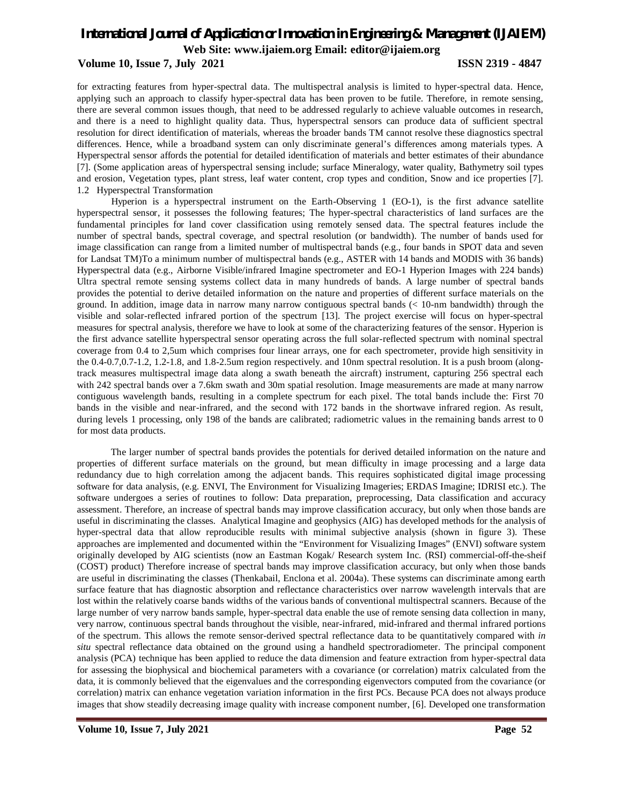#### **Volume 10, Issue 7, July 2021 ISSN 2319 - 4847**

for extracting features from hyper-spectral data. The multispectral analysis is limited to hyper-spectral data. Hence, applying such an approach to classify hyper-spectral data has been proven to be futile. Therefore, in remote sensing, there are several common issues though, that need to be addressed regularly to achieve valuable outcomes in research, and there is a need to highlight quality data. Thus, hyperspectral sensors can produce data of sufficient spectral resolution for direct identification of materials, whereas the broader bands TM cannot resolve these diagnostics spectral differences. Hence, while a broadband system can only discriminate general's differences among materials types. A Hyperspectral sensor affords the potential for detailed identification of materials and better estimates of their abundance [7]. (Some application areas of hyperspectral sensing include; surface Mineralogy, water quality, Bathymetry soil types and erosion, Vegetation types, plant stress, leaf water content, crop types and condition, Snow and ice properties [7]. 1.2 Hyperspectral Transformation

Hyperion is a hyperspectral instrument on the Earth-Observing 1 (EO-1), is the first advance satellite hyperspectral sensor, it possesses the following features; The hyper-spectral characteristics of land surfaces are the fundamental principles for land cover classification using remotely sensed data. The spectral features include the number of spectral bands, spectral coverage, and spectral resolution (or bandwidth). The number of bands used for image classification can range from a limited number of multispectral bands (e.g., four bands in SPOT data and seven for Landsat TM)To a minimum number of multispectral bands (e.g., ASTER with 14 bands and MODIS with 36 bands) Hyperspectral data (e.g., Airborne Visible/infrared Imagine spectrometer and EO-1 Hyperion Images with 224 bands) Ultra spectral remote sensing systems collect data in many hundreds of bands. A large number of spectral bands provides the potential to derive detailed information on the nature and properties of different surface materials on the ground. In addition, image data in narrow many narrow contiguous spectral bands (< 10-nm bandwidth) through the visible and solar-reflected infrared portion of the spectrum [13]. The project exercise will focus on hyper-spectral measures for spectral analysis, therefore we have to look at some of the characterizing features of the sensor. Hyperion is the first advance satellite hyperspectral sensor operating across the full solar-reflected spectrum with nominal spectral coverage from 0.4 to 2,5um which comprises four linear arrays, one for each spectrometer, provide high sensitivity in the 0.4-0.7,0.7-1.2, 1.2-1.8, and 1.8-2.5um region respectively. and 10nm spectral resolution. It is a push broom (alongtrack measures multispectral image data along a swath beneath the aircraft) instrument, capturing 256 spectral each with 242 spectral bands over a 7.6km swath and 30m spatial resolution. Image measurements are made at many narrow contiguous wavelength bands, resulting in a complete spectrum for each pixel. The total bands include the: First 70 bands in the visible and near-infrared, and the second with 172 bands in the shortwave infrared region. As result, during levels 1 processing, only 198 of the bands are calibrated; radiometric values in the remaining bands arrest to 0 for most data products.

The larger number of spectral bands provides the potentials for derived detailed information on the nature and properties of different surface materials on the ground, but mean difficulty in image processing and a large data redundancy due to high correlation among the adjacent bands. This requires sophisticated digital image processing software for data analysis, (e.g. ENVI, The Environment for Visualizing Imageries; ERDAS Imagine; IDRISI etc.). The software undergoes a series of routines to follow: Data preparation, preprocessing, Data classification and accuracy assessment. Therefore, an increase of spectral bands may improve classification accuracy, but only when those bands are useful in discriminating the classes. Analytical Imagine and geophysics (AIG) has developed methods for the analysis of hyper-spectral data that allow reproducible results with minimal subjective analysis (shown in figure 3). These approaches are implemented and documented within the "Environment for Visualizing Images" (ENVI) software system originally developed by AIG scientists (now an Eastman Kogak/ Research system Inc. (RSI) commercial-off-the-sheif (COST) product) Therefore increase of spectral bands may improve classification accuracy, but only when those bands are useful in discriminating the classes (Thenkabail, Enclona et al. 2004a). These systems can discriminate among earth surface feature that has diagnostic absorption and reflectance characteristics over narrow wavelength intervals that are lost within the relatively coarse bands widths of the various bands of conventional multispectral scanners. Because of the large number of very narrow bands sample, hyper-spectral data enable the use of remote sensing data collection in many, very narrow, continuous spectral bands throughout the visible, near-infrared, mid-infrared and thermal infrared portions of the spectrum. This allows the remote sensor-derived spectral reflectance data to be quantitatively compared with *in situ* spectral reflectance data obtained on the ground using a handheld spectroradiometer. The principal component analysis (PCA) technique has been applied to reduce the data dimension and feature extraction from hyper-spectral data for assessing the biophysical and biochemical parameters with a covariance (or correlation) matrix calculated from the data, it is commonly believed that the eigenvalues and the corresponding eigenvectors computed from the covariance (or correlation) matrix can enhance vegetation variation information in the first PCs. Because PCA does not always produce images that show steadily decreasing image quality with increase component number, [6]. Developed one transformation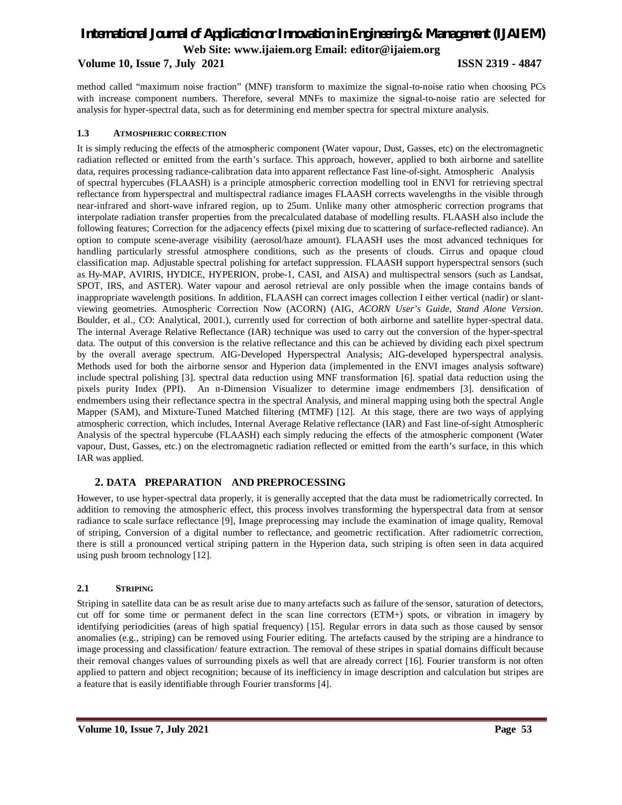**Volume 10, Issue 7, July 2021 ISSN 2319 - 4847**

method called "maximum noise fraction" (MNF) transform to maximize the signal-to-noise ratio when choosing PCs with increase component numbers. Therefore, several MNFs to maximize the signal-to-noise ratio are selected for analysis for hyper-spectral data, such as for determining end member spectra for spectral mixture analysis.

#### **1.3 ATMOSPHERIC CORRECTION**

It is simply reducing the effects of the atmospheric component (Water vapour, Dust, Gasses, etc) on the electromagnetic radiation reflected or emitted from the earth's surface. This approach, however, applied to both airborne and satellite data, requires processing radiance-calibration data into apparent reflectance Fast line-of-sight. Atmospheric Analysis of spectral hypercubes (FLAASH) is a principle atmospheric correction modelling tool in ENVI for retrieving spectral reflectance from hyperspectral and multispectral radiance images FLAASH corrects wavelengths in the visible through near-infrared and short-wave infrared region, up to 25um. Unlike many other atmospheric correction programs that interpolate radiation transfer properties from the precalculated database of modelling results. FLAASH also include the following features; Correction for the adjacency effects (pixel mixing due to scattering of surface-reflected radiance). An option to compute scene-average visibility (aerosol/haze amount). FLAASH uses the most advanced techniques for handling particularly stressful atmosphere conditions, such as the presents of clouds. Cirrus and opaque cloud classification map. Adjustable spectral polishing for artefact suppression. FLAASH support hyperspectral sensors (such as Hy-MAP, AVIRIS, HYDICE, HYPERION, probe-1, CASI, and AISA) and multispectral sensors (such as Landsat, SPOT, IRS, and ASTER). Water vapour and aerosol retrieval are only possible when the image contains bands of inappropriate wavelength positions. In addition, FLAASH can correct images collection I either vertical (nadir) or slantviewing geometries. Atmospheric Correction Now (ACORN) (AIG, *ACORN User's Guide, Stand Alone Version*. Boulder, et al., CO: Analytical, 2001.), currently used for correction of both airborne and satellite hyper-spectral data. The internal Average Relative Reflectance (IAR) technique was used to carry out the conversion of the hyper-spectral data. The output of this conversion is the relative reflectance and this can be achieved by dividing each pixel spectrum by the overall average spectrum. AIG-Developed Hyperspectral Analysis; AIG-developed hyperspectral analysis. Methods used for both the airborne sensor and Hyperion data (implemented in the ENVI images analysis software) include spectral polishing [3]. spectral data reduction using MNF transformation [6]. spatial data reduction using the pixels purity Index (PPI). An n-Dimension Visualizer to determine image endmembers [3]. densification of endmembers using their reflectance spectra in the spectral Analysis, and mineral mapping using both the spectral Angle Mapper (SAM), and Mixture-Tuned Matched filtering (MTMF) [12]. At this stage, there are two ways of applying atmospheric correction, which includes, Internal Average Relative reflectance (IAR) and Fast line-of-sight Atmospheric Analysis of the spectral hypercube (FLAASH) each simply reducing the effects of the atmospheric component (Water vapour, Dust, Gasses, etc.) on the electromagnetic radiation reflected or emitted from the earth's surface, in this which IAR was applied.

### **2. DATA PREPARATION AND PREPROCESSING**

However, to use hyper-spectral data properly, it is generally accepted that the data must be radiometrically corrected. In addition to removing the atmospheric effect, this process involves transforming the hyperspectral data from at sensor radiance to scale surface reflectance [9], Image preprocessing may include the examination of image quality, Removal of striping, Conversion of a digital number to reflectance, and geometric rectification. After radiometric correction, there is still a pronounced vertical striping pattern in the Hyperion data, such striping is often seen in data acquired using push broom technology [12].

#### **2.1 STRIPING**

Striping in satellite data can be as result arise due to many artefacts such as failure of the sensor, saturation of detectors, cut off for some time or permanent defect in the scan line correctors (ETM+) spots, or vibration in imagery by identifying periodicities (areas of high spatial frequency) [15]. Regular errors in data such as those caused by sensor anomalies (e.g., striping) can be removed using Fourier editing. The artefacts caused by the striping are a hindrance to image processing and classification/ feature extraction. The removal of these stripes in spatial domains difficult because their removal changes values of surrounding pixels as well that are already correct [16]. Fourier transform is not often applied to pattern and object recognition; because of its inefficiency in image description and calculation but stripes are a feature that is easily identifiable through Fourier transforms [4].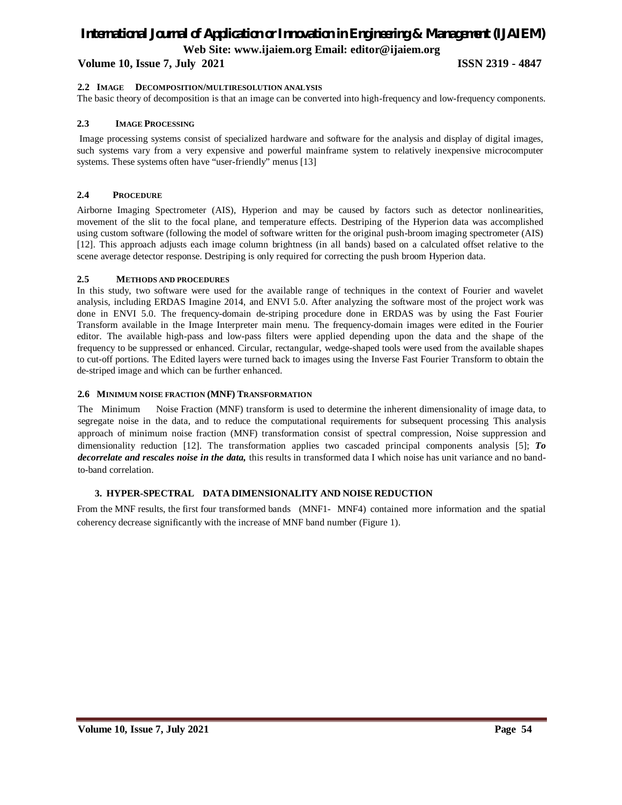#### **Volume 10, Issue 7, July 2021 ISSN 2319 - 4847**

#### **2.2 IMAGE DECOMPOSITION/MULTIRESOLUTION ANALYSIS**

The basic theory of decomposition is that an image can be converted into high-frequency and low-frequency components.

#### **2.3 IMAGE PROCESSING**

Image processing systems consist of specialized hardware and software for the analysis and display of digital images, such systems vary from a very expensive and powerful mainframe system to relatively inexpensive microcomputer systems. These systems often have "user-friendly" menus [13]

#### **2.4 PROCEDURE**

Airborne Imaging Spectrometer (AIS), Hyperion and may be caused by factors such as detector nonlinearities, movement of the slit to the focal plane, and temperature effects. Destriping of the Hyperion data was accomplished using custom software (following the model of software written for the original push-broom imaging spectrometer (AIS) [12]. This approach adjusts each image column brightness (in all bands) based on a calculated offset relative to the scene average detector response. Destriping is only required for correcting the push broom Hyperion data.

#### **2.5 METHODS AND PROCEDURES**

In this study, two software were used for the available range of techniques in the context of Fourier and wavelet analysis, including ERDAS Imagine 2014, and ENVI 5.0. After analyzing the software most of the project work was done in ENVI 5.0. The frequency-domain de-striping procedure done in ERDAS was by using the Fast Fourier Transform available in the Image Interpreter main menu. The frequency-domain images were edited in the Fourier editor. The available high-pass and low-pass filters were applied depending upon the data and the shape of the frequency to be suppressed or enhanced. Circular, rectangular, wedge-shaped tools were used from the available shapes to cut-off portions. The Edited layers were turned back to images using the Inverse Fast Fourier Transform to obtain the de-striped image and which can be further enhanced.

#### **2.6 MINIMUM NOISE FRACTION (MNF) TRANSFORMATION**

The Minimum Noise Fraction (MNF) transform is used to determine the inherent dimensionality of image data, to segregate noise in the data, and to reduce the computational requirements for subsequent processing This analysis approach of minimum noise fraction (MNF) transformation consist of spectral compression, Noise suppression and dimensionality reduction [12]. The transformation applies two cascaded principal components analysis [5]; *To decorrelate and rescales noise in the data,* this results in transformed data I which noise has unit variance and no bandto-band correlation.

#### **3. HYPER-SPECTRAL DATA DIMENSIONALITY AND NOISE REDUCTION**

From the MNF results, the first four transformed bands (MNF1- MNF4) contained more information and the spatial coherency decrease significantly with the increase of MNF band number (Figure 1).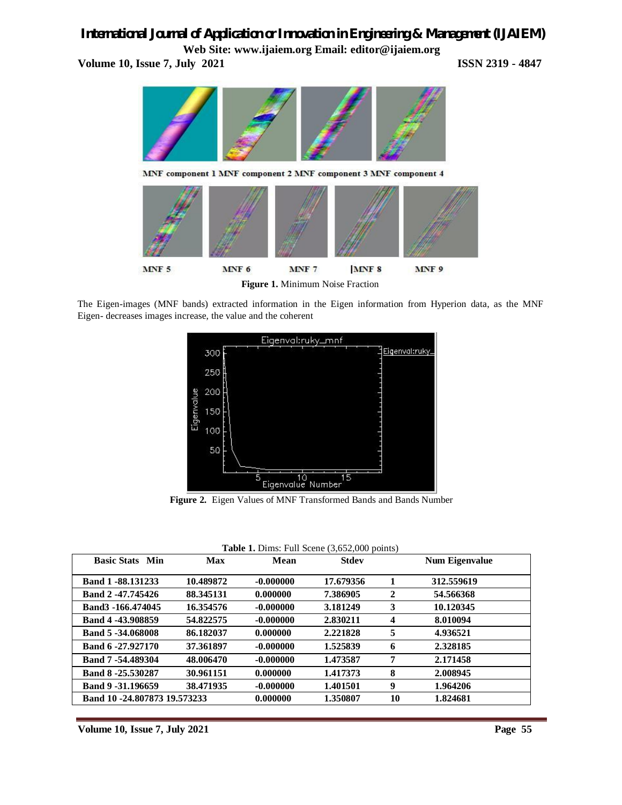# *International Journal of Application or Innovation in Engineering & Management (IJAIEM)*

**Web Site: www.ijaiem.org Email: editor@ijaiem.org Volume 10, Issue 7, July 2021 ISSN 2319 - 4847** 



**Figure 1.** Minimum Noise Fraction

The Eigen-images (MNF bands) extracted information in the Eigen information from Hyperion data, as the MNF Eigen- decreases images increase, the value and the coherent



**Figure 2.** Eigen Values of MNF Transformed Bands and Bands Number

| Table 1. Dims: Full Scene (3,652,000 points) |  |  |
|----------------------------------------------|--|--|
|----------------------------------------------|--|--|

| <b>Basic Stats Min</b>      | Max       | Mean        | Stdev     |                         | <b>Num Eigenvalue</b> |
|-----------------------------|-----------|-------------|-----------|-------------------------|-----------------------|
| Band 1-88.131233            | 10.489872 | $-0.000000$ | 17.679356 |                         | 312.559619            |
| Band 2-47.745426            | 88.345131 | 0.000000    | 7.386905  | $\mathbf{2}$            | 54.566368             |
| Band3 -166,474045           | 16.354576 | $-0.000000$ | 3.181249  | 3                       | 10.120345             |
| Band 4 -43,908859           | 54.822575 | $-0.000000$ | 2.830211  | $\overline{\mathbf{4}}$ | 8.010094              |
| Band 5-34.068008            | 86.182037 | 0.000000    | 2.221828  | 5                       | 4.936521              |
| Band 6-27.927170            | 37.361897 | $-0.000000$ | 1.525839  | 6                       | 2.328185              |
| Band 7-54.489304            | 48.006470 | $-0.000000$ | 1.473587  | 7                       | 2.171458              |
| Band 8-25.530287            | 30.961151 | 0.000000    | 1.417373  | 8                       | 2.008945              |
| Band 9 - 31.196659          | 38.471935 | $-0.000000$ | 1.401501  | 9                       | 1.964206              |
| Band 10-24.807873 19.573233 |           | 0.000000    | 1.350807  | 10                      | 1.824681              |

**Volume 10, Issue 7, July 2021** Page 55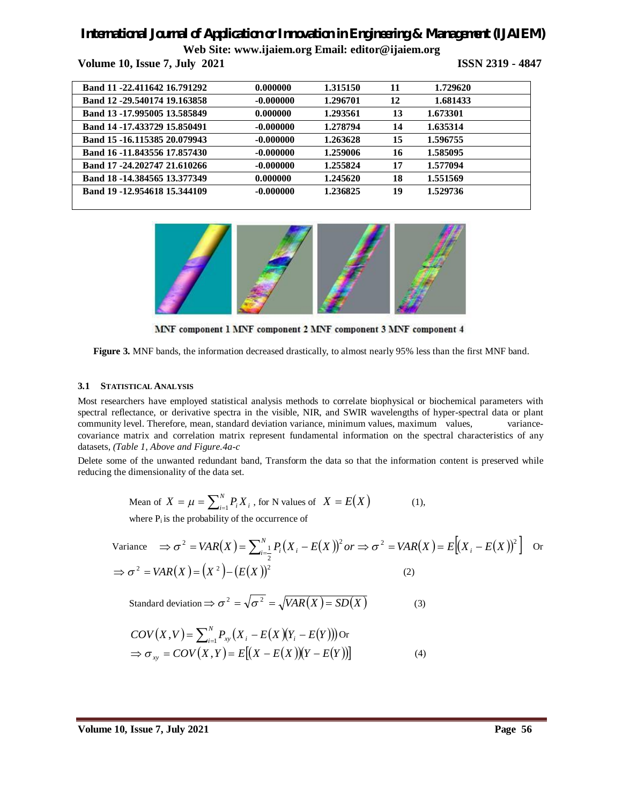# *International Journal of Application or Innovation in Engineering & Management (IJAIEM)*

**Web Site: www.ijaiem.org Email: editor@ijaiem.org**

**Volume 10, Issue 7, July 2021 ISSN 2319 - 4847** 

| Band 11 -22.411642 16.791292 | 0.000000    | 1.315150 | 11 | 1.729620 |  |
|------------------------------|-------------|----------|----|----------|--|
| Band 12 -29.540174 19.163858 | -0.000000   | 1.296701 | 12 | 1.681433 |  |
| Band 13-17.995005 13.585849  | 0.000000    | 1.293561 | 13 | 1.673301 |  |
| Band 14 -17.433729 15.850491 | $-0.000000$ | 1.278794 | 14 | 1.635314 |  |
| Band 15 -16.115385 20.079943 | $-0.000000$ | 1.263628 | 15 | 1.596755 |  |
| Band 16 -11.843556 17.857430 | $-0.000000$ | 1.259006 | 16 | 1.585095 |  |
| Band 17-24.202747 21.610266  | $-0.000000$ | 1.255824 | 17 | 1.577094 |  |
| Band 18 -14.384565 13.377349 | 0.000000    | 1.245620 | 18 | 1.551569 |  |
| Band 19 -12.954618 15.344109 | $-0.000000$ | 1.236825 | 19 | 1.529736 |  |
|                              |             |          |    |          |  |



MNF component 1 MNF component 2 MNF component 3 MNF component 4

**Figure 3.** MNF bands, the information decreased drastically, to almost nearly 95% less than the first MNF band.

#### **3.1 STATISTICAL ANALYSIS**

Most researchers have employed statistical analysis methods to correlate biophysical or biochemical parameters with spectral reflectance, or derivative spectra in the visible, NIR, and SWIR wavelengths of hyper-spectral data or plant community level. Therefore, mean, standard deviation variance, minimum values, maximum values, variancecovariance matrix and correlation matrix represent fundamental information on the spectral characteristics of any datasets, *(Table 1, Above and Figure.4a-c*

Delete some of the unwanted redundant band, Transform the data so that the information content is preserved while reducing the dimensionality of the data set.

Mean of 
$$
X = \mu = \sum_{i=1}^{N} P_i X_i
$$
, for N values of  $X = E(X)$  (1),  
where P is the probability of the occurrence of

where  $P_i$  is the probability of the occurrence of

Variance 
$$
\Rightarrow \sigma^2 = VAR(X) = \sum_{i=\frac{1}{2}}^{N} P_i (X_i - E(X))^2
$$
 or  $\Rightarrow \sigma^2 = VAR(X) = E[(X_i - E(X))^2]$  or  $\Rightarrow \sigma^2 = VAR(X) = (X^2) - (E(X))^2$  (2)

Standard deviation 
$$
\Rightarrow \sigma^2 = \sqrt{\sigma^2} = \sqrt{VAR(X) = SD(X)}
$$
 (3)

$$
COV(X, V) = \sum_{i=1}^{N} P_{xy}(X_i - E(X)(Y_i - E(Y)))
$$
  
\n
$$
\Rightarrow \sigma_{xy} = COV(X, Y) = E[(X - E(X))(Y - E(Y))]
$$
\n(4)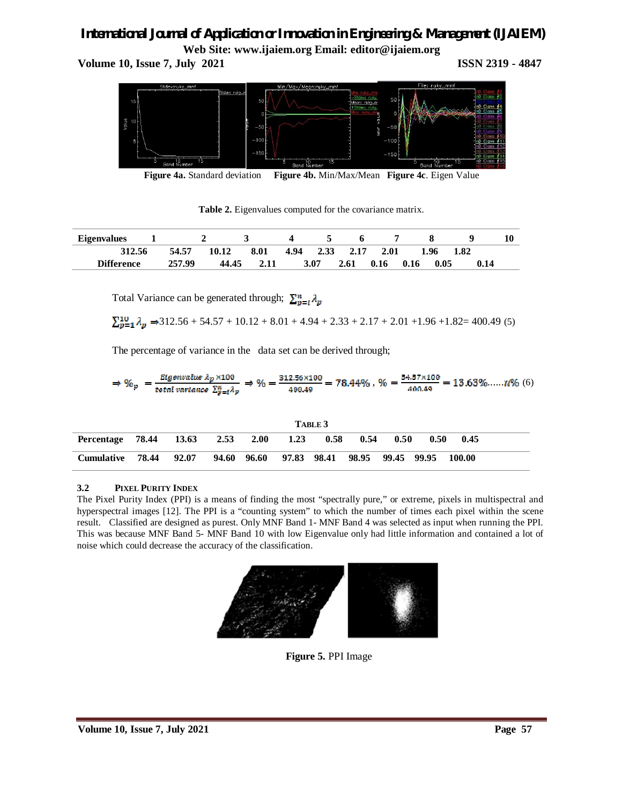**Volume 10, Issue 7, July 2021 ISSN 2319 - 4847** 



**Figure 4a.** Standard deviation **Figure 4b.** Min/Max/Mean **Figure 4c**. Eigen Value

**Table 2.** Eigenvalues computed for the covariance matrix.

| <b>Eigenvalues</b> |        |       |            |      |                |      |      |      |      |      |  |
|--------------------|--------|-------|------------|------|----------------|------|------|------|------|------|--|
| 312.56             | 54.57  | 10.12 | 8.01       |      | 4.94 2.33 2.17 | 2.01 | 1.96 |      | 1.82 |      |  |
| <b>Difference</b>  | 257.99 |       | 44.45 2.11 | 3.07 | 2.61           | 0.16 | 0.16 | 0.05 |      | 0.14 |  |

Total Variance can be generated through;  $\sum_{n=i}^n \lambda_n$ 

 $\sum_{p=1}^{10} \lambda_p \Rightarrow 312.56 + 54.57 + 10.12 + 8.01 + 4.94 + 2.33 + 2.17 + 2.01 + 1.96 + 1.82 = 400.49$  (5)

The percentage of variance in the data set can be derived through;

$$
\Rightarrow \%_{p} = \frac{\text{Eigenvalue } \lambda_{p} \times 100}{\text{total variance } \sum_{p=1}^{n} \lambda_{p}} \Rightarrow \% = \frac{312.56 \times 100}{400.49} = 78.44\%, \% = \frac{54.57 \times 100}{400.49} = 13.63\%......7\% (6)
$$

|                        | TABLE 3 |       |      |             |             |      |                   |      |      |        |  |
|------------------------|---------|-------|------|-------------|-------------|------|-------------------|------|------|--------|--|
| Percentage 78.44 13.63 |         |       | 2.53 | 2.00        | 1.23        | 0.58 | 0.54              | 0.50 | 0.50 | 0.45   |  |
| Cumulative             | 78.44   | 92.07 |      | 94.60 96.60 | 97.83 98.41 |      | 98.95 99.45 99.95 |      |      | 100.00 |  |

### **3.2 PIXEL PURITY INDEX**

The Pixel Purity Index (PPI) is a means of finding the most "spectrally pure," or extreme, pixels in multispectral and hyperspectral images [12]. The PPI is a "counting system" to which the number of times each pixel within the scene result. Classified are designed as purest. Only MNF Band 1- MNF Band 4 was selected as input when running the PPI. This was because MNF Band 5- MNF Band 10 with low Eigenvalue only had little information and contained a lot of noise which could decrease the accuracy of the classification.



**Figure 5.** PPI Image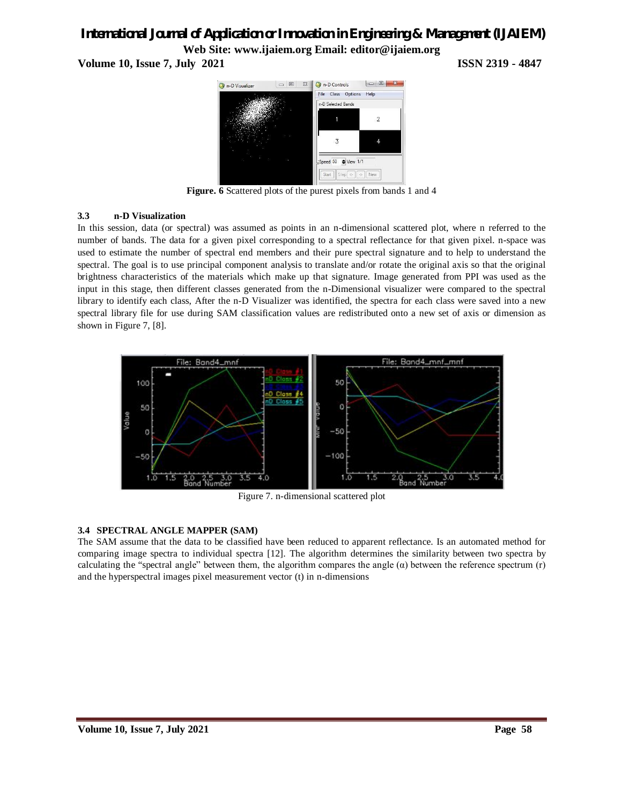**Volume 10, Issue 7, July 2021 ISSN 2319 - 4847**



**Figure. 6** Scattered plots of the purest pixels from bands 1 and 4

#### **3.3 n-D Visualization**

In this session, data (or spectral) was assumed as points in an n-dimensional scattered plot, where n referred to the number of bands. The data for a given pixel corresponding to a spectral reflectance for that given pixel. n-space was used to estimate the number of spectral end members and their pure spectral signature and to help to understand the spectral. The goal is to use principal component analysis to translate and/or rotate the original axis so that the original brightness characteristics of the materials which make up that signature. Image generated from PPI was used as the input in this stage, then different classes generated from the n-Dimensional visualizer were compared to the spectral library to identify each class, After the n-D Visualizer was identified, the spectra for each class were saved into a new spectral library file for use during SAM classification values are redistributed onto a new set of axis or dimension as shown in Figure 7, [8].



Figure 7. n-dimensional scattered plot

#### **3.4 SPECTRAL ANGLE MAPPER (SAM)**

The SAM assume that the data to be classified have been reduced to apparent reflectance. Is an automated method for comparing image spectra to individual spectra [12]. The algorithm determines the similarity between two spectra by calculating the "spectral angle" between them, the algorithm compares the angle  $(\alpha)$  between the reference spectrum (r) and the hyperspectral images pixel measurement vector (t) in n-dimensions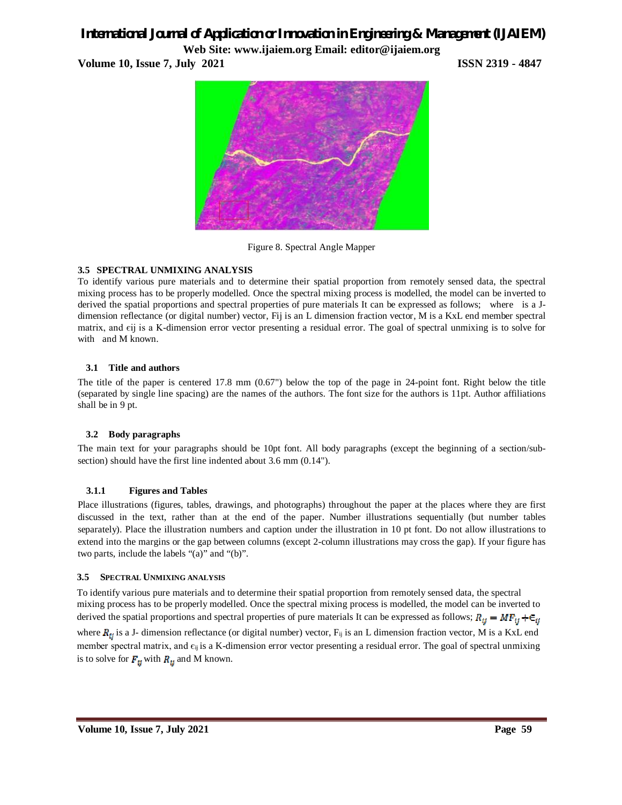# *International Journal of Application or Innovation in Engineering & Management (IJAIEM)*

**Web Site: www.ijaiem.org Email: editor@ijaiem.org Volume 10, Issue 7, July 2021 ISSN 2319 - 4847** 



Figure 8. Spectral Angle Mapper

### **3.5 SPECTRAL UNMIXING ANALYSIS**

To identify various pure materials and to determine their spatial proportion from remotely sensed data, the spectral mixing process has to be properly modelled. Once the spectral mixing process is modelled, the model can be inverted to derived the spatial proportions and spectral properties of pure materials It can be expressed as follows; where is a Jdimension reflectance (or digital number) vector, Fij is an L dimension fraction vector, M is a KxL end member spectral matrix, and єij is a K-dimension error vector presenting a residual error. The goal of spectral unmixing is to solve for with and M known.

#### **3.1 Title and authors**

The title of the paper is centered 17.8 mm (0.67") below the top of the page in 24-point font. Right below the title (separated by single line spacing) are the names of the authors. The font size for the authors is 11pt. Author affiliations shall be in 9 pt.

#### **3.2 Body paragraphs**

The main text for your paragraphs should be 10pt font. All body paragraphs (except the beginning of a section/subsection) should have the first line indented about 3.6 mm (0.14").

### **3.1.1 Figures and Table***s*

Place illustrations (figures, tables, drawings, and photographs) throughout the paper at the places where they are first discussed in the text, rather than at the end of the paper. Number illustrations sequentially (but number tables separately). Place the illustration numbers and caption under the illustration in 10 pt font. Do not allow illustrations to extend into the margins or the gap between columns (except 2-column illustrations may cross the gap). If your figure has two parts, include the labels "(a)" and "(b)".

#### **3.5 SPECTRAL UNMIXING ANALYSIS**

To identify various pure materials and to determine their spatial proportion from remotely sensed data, the spectral mixing process has to be properly modelled. Once the spectral mixing process is modelled, the model can be inverted to derived the spatial proportions and spectral properties of pure materials It can be expressed as follows;  $R_{ij} = MF_{ij} + \epsilon_{ij}$ where  $R_{ij}$  is a J- dimension reflectance (or digital number) vector,  $F_{ij}$  is an L dimension fraction vector, M is a KxL end member spectral matrix, and  $\epsilon_{ij}$  is a K-dimension error vector presenting a residual error. The goal of spectral unmixing is to solve for  $F_{ij}$  with  $R_{ij}$  and M known.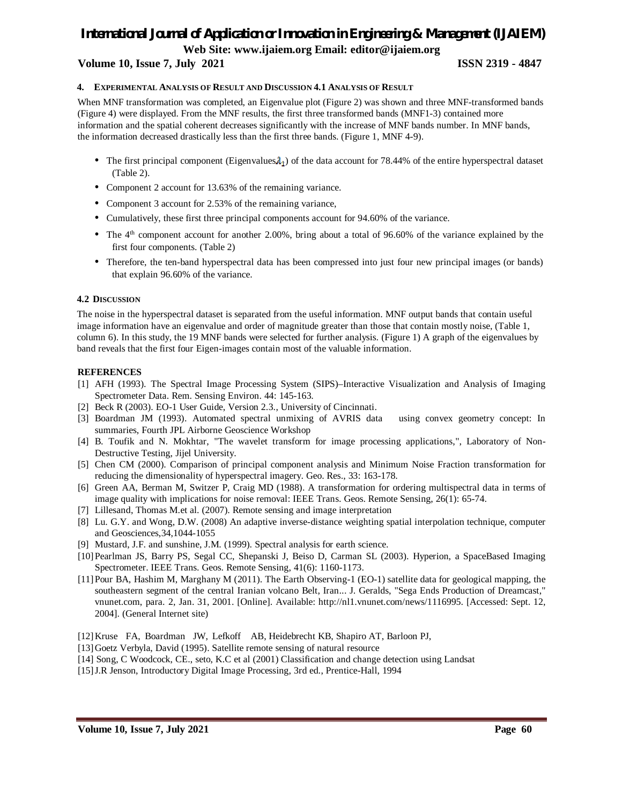#### **Volume 10, Issue 7, July 2021 ISSN 2319 - 4847**

#### **4. EXPERIMENTAL ANALYSIS OF RESULT AND DISCUSSION 4.1 ANALYSIS OF RESULT**

When MNF transformation was completed, an Eigenvalue plot (Figure 2) was shown and three MNF-transformed bands (Figure 4) were displayed. From the MNF results, the first three transformed bands (MNF1-3) contained more information and the spatial coherent decreases significantly with the increase of MNF bands number. In MNF bands, the information decreased drastically less than the first three bands. (Figure 1, MNF 4-9).

- The first principal component (Eigenvalues  $\lambda_1$ ) of the data account for 78.44% of the entire hyperspectral dataset (Table 2).
- Component 2 account for 13.63% of the remaining variance.
- Component 3 account for 2.53% of the remaining variance,
- Cumulatively, these first three principal components account for 94.60% of the variance.
- The  $4<sup>th</sup>$  component account for another 2.00%, bring about a total of 96.60% of the variance explained by the first four components. (Table 2)
- Therefore, the ten-band hyperspectral data has been compressed into just four new principal images (or bands) that explain 96.60% of the variance.

#### **4.2 DISCUSSION**

The noise in the hyperspectral dataset is separated from the useful information. MNF output bands that contain useful image information have an eigenvalue and order of magnitude greater than those that contain mostly noise, (Table 1, column 6). In this study, the 19 MNF bands were selected for further analysis. (Figure 1) A graph of the eigenvalues by band reveals that the first four Eigen-images contain most of the valuable information.

#### **REFERENCES**

- [1] AFH (1993). The Spectral Image Processing System (SIPS)–Interactive Visualization and Analysis of Imaging Spectrometer Data. Rem. Sensing Environ. 44: 145-163.
- [2] Beck R (2003). EO-1 User Guide, Version 2.3., University of Cincinnati.
- [3] Boardman JM (1993). Automated spectral unmixing of AVRIS data using convex geometry concept: In summaries, Fourth JPL Airborne Geoscience Workshop
- [4] B. Toufik and N. Mokhtar, "The wavelet transform for image processing applications,", Laboratory of Non-Destructive Testing, Jijel University.
- [5] Chen CM (2000). Comparison of principal component analysis and Minimum Noise Fraction transformation for reducing the dimensionality of hyperspectral imagery. Geo. Res., 33: 163-178.
- [6] Green AA, Berman M, Switzer P, Craig MD (1988). A transformation for ordering multispectral data in terms of image quality with implications for noise removal: IEEE Trans. Geos. Remote Sensing, 26(1): 65-74.
- [7] Lillesand, Thomas M.et al. (2007). Remote sensing and image interpretation
- [8] Lu. G.Y. and Wong, D.W. (2008) An adaptive inverse-distance weighting spatial interpolation technique, computer and Geosciences,34,1044-1055
- [9] Mustard, J.F. and sunshine, J.M. (1999). Spectral analysis for earth science.
- [10]Pearlman JS, Barry PS, Segal CC, Shepanski J, Beiso D, Carman SL (2003). Hyperion, a SpaceBased Imaging Spectrometer. IEEE Trans. Geos. Remote Sensing, 41(6): 1160-1173.
- [11]Pour BA, Hashim M, Marghany M (2011). The Earth Observing-1 (EO-1) satellite data for geological mapping, the southeastern segment of the central Iranian volcano Belt, Iran... J. Geralds, "Sega Ends Production of Dreamcast," vnunet.com, para. 2, Jan. 31, 2001. [Online]. Available: http://nl1.vnunet.com/news/1116995. [Accessed: Sept. 12, 2004]. (General Internet site)
- [12]Kruse FA, Boardman JW, Lefkoff AB, Heidebrecht KB, Shapiro AT, Barloon PJ,
- [13]Goetz Verbyla, David (1995). Satellite remote sensing of natural resource
- [14] Song, C Woodcock, CE., seto, K.C et al (2001) Classification and change detection using Landsat
- [15]J.R Jenson, Introductory Digital Image Processing, 3rd ed., Prentice-Hall, 1994